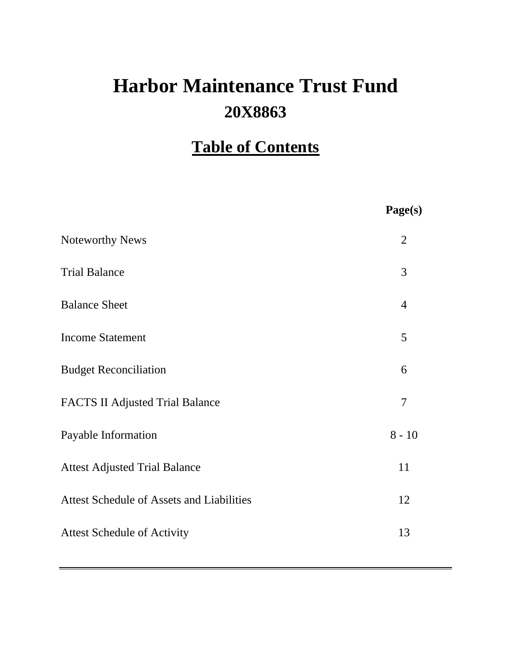# **20X8863 Harbor Maintenance Trust Fund**

## **Table of Contents**

|                                                  | Page(s)        |
|--------------------------------------------------|----------------|
| <b>Noteworthy News</b>                           | $\overline{2}$ |
| <b>Trial Balance</b>                             | 3              |
| <b>Balance Sheet</b>                             | $\overline{4}$ |
| <b>Income Statement</b>                          | 5              |
| <b>Budget Reconciliation</b>                     | 6              |
| <b>FACTS II Adjusted Trial Balance</b>           | $\overline{7}$ |
| Payable Information                              | $8 - 10$       |
| <b>Attest Adjusted Trial Balance</b>             | 11             |
| <b>Attest Schedule of Assets and Liabilities</b> | 12             |
| <b>Attest Schedule of Activity</b>               | 13             |
|                                                  |                |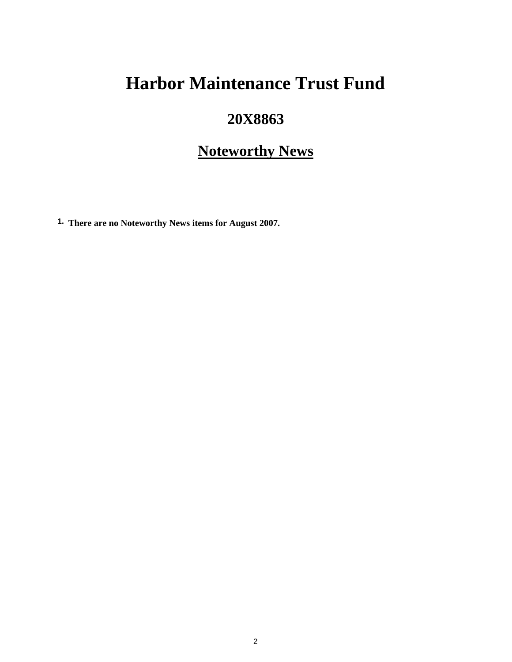## **Harbor Maintenance Trust Fund**

## **20X8863**

## **Noteworthy News**

**1. There are no Noteworthy News items for August 2007.**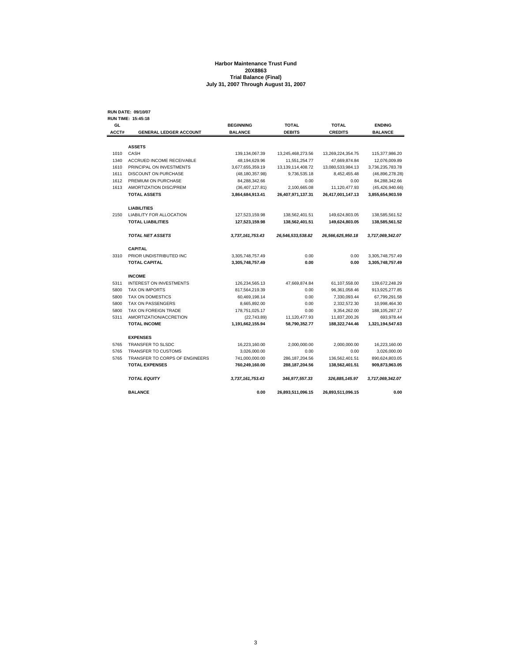#### **Harbor Maintenance Trust Fund 20X8863 Trial Balance (Final) July 31, 2007 Through August 31, 2007**

**RUN DATE: 09/10/07**

| GL    | RUN TIME: 15:45:18               | <b>BEGINNING</b>  | <b>TOTAL</b>          | <b>TOTAL</b>      | <b>ENDING</b>     |
|-------|----------------------------------|-------------------|-----------------------|-------------------|-------------------|
| ACCT# | <b>GENERAL LEDGER ACCOUNT</b>    | <b>BALANCE</b>    | <b>DEBITS</b>         | <b>CREDITS</b>    | <b>BALANCE</b>    |
|       |                                  |                   |                       |                   |                   |
|       | <b>ASSETS</b>                    |                   |                       |                   |                   |
| 1010  | CASH                             | 139,134,067.39    | 13,245,468,273.56     | 13,269,224,354.75 | 115,377,986.20    |
| 1340  | <b>ACCRUED INCOME RECEIVABLE</b> | 48,194,629.96     | 11,551,254.77         | 47,669,874.84     | 12,076,009.89     |
| 1610  | PRINCIPAL ON INVESTMENTS         | 3,677,655,359.19  | 13, 139, 114, 408. 72 | 13,080,533,984.13 | 3,736,235,783.78  |
| 1611  | <b>DISCOUNT ON PURCHASE</b>      | (48, 180, 357.98) | 9,736,535.18          | 8,452,455.48      | (46, 896, 278.28) |
| 1612  | PREMIUM ON PURCHASE              | 84,288,342.66     | 0.00                  | 0.00              | 84,288,342.66     |
| 1613  | AMORTIZATION DISC/PREM           | (36, 407, 127.81) | 2.100.665.08          | 11,120,477.93     | (45, 426, 940.66) |
|       | <b>TOTAL ASSETS</b>              | 3,864,684,913.41  | 26,407,971,137.31     | 26,417,001,147.13 | 3,855,654,903.59  |
|       | <b>LIABILITIES</b>               |                   |                       |                   |                   |
| 2150  | <b>LIABILITY FOR ALLOCATION</b>  | 127,523,159.98    | 138,562,401.51        | 149,624,803.05    | 138,585,561.52    |
|       | <b>TOTAL LIABILITIES</b>         | 127,523,159.98    | 138,562,401.51        | 149,624,803.05    | 138,585,561.52    |
|       | <b>TOTAL NET ASSETS</b>          | 3,737,161,753.43  | 26,546,533,538.82     | 26,566,625,950.18 | 3,717,069,342.07  |
|       | <b>CAPITAL</b>                   |                   |                       |                   |                   |
| 3310  | PRIOR UNDISTRIBUTED INC          | 3,305,748,757.49  | 0.00                  | 0.00              | 3,305,748,757.49  |
|       | <b>TOTAL CAPITAL</b>             | 3,305,748,757.49  | 0.00                  | 0.00              | 3,305,748,757.49  |
|       | <b>INCOME</b>                    |                   |                       |                   |                   |
| 5311  | <b>INTEREST ON INVESTMENTS</b>   | 126,234,565.13    | 47,669,874.84         | 61,107,558.00     | 139,672,248.29    |
| 5800  | <b>TAX ON IMPORTS</b>            | 817,564,219.39    | 0.00                  | 96, 361, 058.46   | 913,925,277.85    |
| 5800  | <b>TAX ON DOMESTICS</b>          | 60,469,198.14     | 0.00                  | 7,330,093.44      | 67,799,291.58     |
| 5800  | TAX ON PASSENGERS                | 8,665,892.00      | 0.00                  | 2,332,572.30      | 10,998,464.30     |
| 5800  | TAX ON FOREIGN TRADE             | 178,751,025.17    | 0.00                  | 9,354,262.00      | 188, 105, 287. 17 |
| 5311  | AMORTIZATION/ACCRETION           | (22, 743.89)      | 11,120,477.93         | 11,837,200.26     | 693,978.44        |
|       | <b>TOTAL INCOME</b>              | 1,191,662,155.94  | 58,790,352.77         | 188,322,744.46    | 1,321,194,547.63  |
|       | <b>EXPENSES</b>                  |                   |                       |                   |                   |
| 5765  | <b>TRANSFER TO SLSDC</b>         | 16,223,160.00     | 2,000,000.00          | 2,000,000.00      | 16,223,160.00     |
| 5765  | <b>TRANSFER TO CUSTOMS</b>       | 3,026,000.00      | 0.00                  | 0.00              | 3,026,000.00      |
| 5765  | TRANSFER TO CORPS OF ENGINEERS   | 741,000,000.00    | 286, 187, 204.56      | 136,562,401.51    | 890,624,803.05    |
|       | <b>TOTAL EXPENSES</b>            | 760,249,160.00    | 288,187,204.56        | 138,562,401.51    | 909,873,963.05    |
|       | <b>TOTAL EQUITY</b>              | 3,737,161,753.43  | 346,977,557.33        | 326,885,145.97    | 3,717,069,342.07  |
|       | <b>BALANCE</b>                   | 0.00              | 26,893,511,096.15     | 26,893,511,096.15 | 0.00              |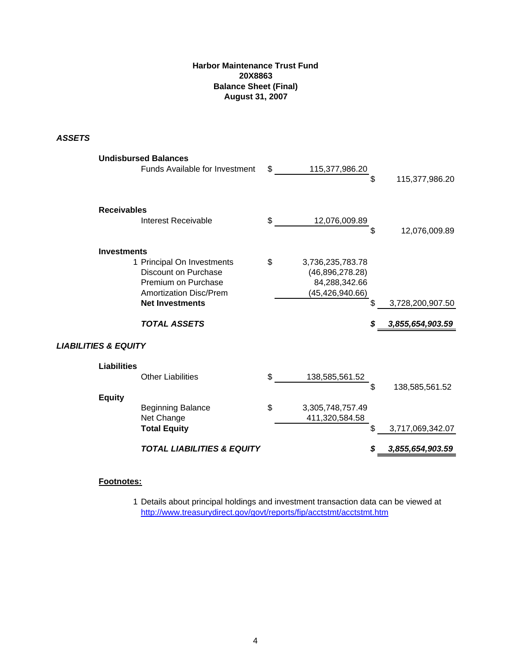## **Harbor Maintenance Trust Fund 20X8863 Balance Sheet (Final) August 31, 2007**

## *ASSETS*

|                                 | <b>Undisbursed Balances</b>                             |                        |    |                  |
|---------------------------------|---------------------------------------------------------|------------------------|----|------------------|
|                                 | Funds Available for Investment                          | \$<br>115,377,986.20   | \$ | 115,377,986.20   |
|                                 |                                                         |                        |    |                  |
| <b>Receivables</b>              |                                                         |                        |    |                  |
|                                 | <b>Interest Receivable</b>                              | \$<br>12,076,009.89    | \$ | 12,076,009.89    |
| <b>Investments</b>              |                                                         |                        |    |                  |
|                                 | 1 Principal On Investments                              | \$<br>3,736,235,783.78 |    |                  |
|                                 | <b>Discount on Purchase</b>                             | (46,896,278.28)        |    |                  |
|                                 | Premium on Purchase                                     | 84,288,342.66          |    |                  |
|                                 | <b>Amortization Disc/Prem</b><br><b>Net Investments</b> | (45, 426, 940.66)      | \$ | 3,728,200,907.50 |
|                                 |                                                         |                        |    |                  |
|                                 | <b>TOTAL ASSETS</b>                                     |                        | S  | 3,855,654,903.59 |
| <b>LIABILITIES &amp; EQUITY</b> |                                                         |                        |    |                  |
| <b>Liabilities</b>              |                                                         |                        |    |                  |
|                                 | <b>Other Liabilities</b>                                | \$<br>138,585,561.52   |    |                  |
|                                 |                                                         |                        | \$ | 138,585,561.52   |
| <b>Equity</b>                   | <b>Beginning Balance</b>                                | \$<br>3,305,748,757.49 |    |                  |
|                                 | Net Change                                              | 411,320,584.58         |    |                  |
|                                 | <b>Total Equity</b>                                     |                        |    | 3,717,069,342.07 |
|                                 | <b>TOTAL LIABILITIES &amp; EQUITY</b>                   |                        |    | 3,855,654,903.59 |
|                                 |                                                         |                        |    |                  |

## **Footnotes:**

1 Details about principal holdings and investment transaction data can be viewed at http://www.treasurydirect.gov/govt/reports/fip/acctstmt/acctstmt.htm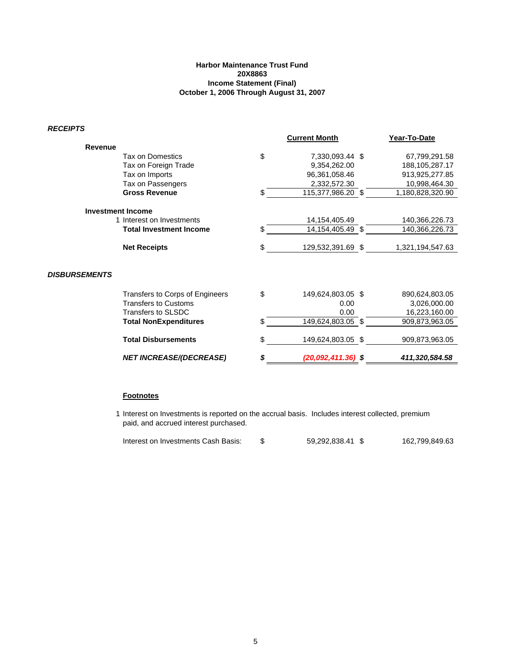### **Harbor Maintenance Trust Fund 20X8863 Income Statement (Final) October 1, 2006 Through August 31, 2007**

*RECEIPTS*

| טו וושטבוו           |                                 |    |                      |                   |
|----------------------|---------------------------------|----|----------------------|-------------------|
|                      |                                 |    | <b>Current Month</b> | Year-To-Date      |
| Revenue              |                                 |    |                      |                   |
|                      | Tax on Domestics                | \$ | 7,330,093.44 \$      | 67,799,291.58     |
|                      | Tax on Foreign Trade            |    | 9,354,262.00         | 188, 105, 287. 17 |
|                      | Tax on Imports                  |    | 96,361,058.46        | 913,925,277.85    |
|                      | Tax on Passengers               |    | 2,332,572.30         | 10,998,464.30     |
|                      | <b>Gross Revenue</b>            | \$ | 115,377,986.20 \$    | 1,180,828,320.90  |
|                      | <b>Investment Income</b>        |    |                      |                   |
|                      | 1 Interest on Investments       |    | 14, 154, 405. 49     | 140,366,226.73    |
|                      | <b>Total Investment Income</b>  | S  | 14,154,405.49 \$     | 140,366,226.73    |
|                      | <b>Net Receipts</b>             | \$ | 129,532,391.69 \$    | 1,321,194,547.63  |
|                      |                                 |    |                      |                   |
| <b>DISBURSEMENTS</b> |                                 |    |                      |                   |
|                      | Transfers to Corps of Engineers | \$ | 149,624,803.05 \$    | 890,624,803.05    |
|                      | <b>Transfers to Customs</b>     |    | 0.00                 | 3,026,000.00      |
|                      | <b>Transfers to SLSDC</b>       |    | 0.00                 | 16,223,160.00     |
|                      | <b>Total NonExpenditures</b>    |    | 149,624,803.05 \$    | 909,873,963.05    |
|                      | <b>Total Disbursements</b>      |    | 149,624,803.05 \$    | 909,873,963.05    |
|                      | <b>NET INCREASE/(DECREASE)</b>  |    | (20,092,411.36) \$   | 411,320,584.58    |

### **Footnotes**

1 Interest on Investments is reported on the accrual basis. Includes interest collected, premium paid, and accrued interest purchased.

| Interest on Investments Cash Basis: |  | 59,292,838.41 \$ | 162,799,849.63 |
|-------------------------------------|--|------------------|----------------|
|-------------------------------------|--|------------------|----------------|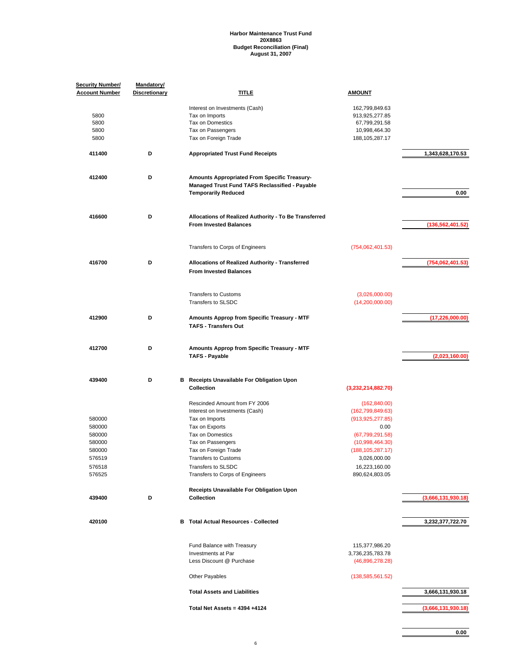#### **Harbor Maintenance Trust Fund 20X8863 Budget Reconciliation (Final) August 31, 2007**

| <b>Security Number/</b><br><b>Account Number</b> | Mandatory/<br><b>Discretionary</b> | TITLE                                                                                                                               | <b>AMOUNT</b>                                         |                    |
|--------------------------------------------------|------------------------------------|-------------------------------------------------------------------------------------------------------------------------------------|-------------------------------------------------------|--------------------|
| 5800<br>5800                                     |                                    | Interest on Investments (Cash)<br>Tax on Imports<br>Tax on Domestics                                                                | 162,799,849.63<br>913,925,277.85<br>67,799,291.58     |                    |
| 5800<br>5800                                     |                                    | Tax on Passengers<br>Tax on Foreign Trade                                                                                           | 10,998,464.30<br>188, 105, 287. 17                    |                    |
| 411400                                           | D                                  | <b>Appropriated Trust Fund Receipts</b>                                                                                             |                                                       | 1,343,628,170.53   |
| 412400                                           | D                                  | Amounts Appropriated From Specific Treasury-<br><b>Managed Trust Fund TAFS Reclassified - Payable</b><br><b>Temporarily Reduced</b> |                                                       | 0.00               |
| 416600                                           | D                                  | Allocations of Realized Authority - To Be Transferred<br><b>From Invested Balances</b>                                              |                                                       | (136, 562, 401.52) |
|                                                  |                                    | Transfers to Corps of Engineers                                                                                                     | (754,062,401.53)                                      |                    |
| 416700                                           | D                                  | Allocations of Realized Authority - Transferred<br><b>From Invested Balances</b>                                                    |                                                       | (754,062,401.53)   |
|                                                  |                                    | <b>Transfers to Customs</b><br>Transfers to SLSDC                                                                                   | (3,026,000.00)<br>(14, 200, 000.00)                   |                    |
| 412900                                           | D                                  | Amounts Approp from Specific Treasury - MTF<br><b>TAFS - Transfers Out</b>                                                          |                                                       | (17, 226, 000.00)  |
| 412700                                           | D                                  | Amounts Approp from Specific Treasury - MTF<br><b>TAFS - Payable</b>                                                                |                                                       | (2,023,160.00)     |
| 439400                                           | D                                  | <b>B</b> Receipts Unavailable For Obligation Upon<br><b>Collection</b>                                                              | (3,232,214,882.70)                                    |                    |
|                                                  |                                    | Rescinded Amount from FY 2006<br>Interest on Investments (Cash)                                                                     | (162, 840.00)<br>(162, 799, 849.63)                   |                    |
| 580000                                           |                                    | Tax on Imports                                                                                                                      | (913, 925, 277.85)                                    |                    |
| 580000                                           |                                    | Tax on Exports                                                                                                                      | 0.00                                                  |                    |
| 580000                                           |                                    | Tax on Domestics                                                                                                                    | (67, 799, 291.58)                                     |                    |
| 580000<br>580000                                 |                                    | Tax on Passengers<br>Tax on Foreign Trade                                                                                           | (10,998,464.30)<br>(188, 105, 287.17)                 |                    |
| 576519                                           |                                    | <b>Transfers to Customs</b>                                                                                                         | 3,026,000.00                                          |                    |
|                                                  |                                    | Transfers to SLSDC                                                                                                                  |                                                       |                    |
| 576518<br>576525                                 |                                    | Transfers to Corps of Engineers                                                                                                     | 16,223,160.00<br>890,624,803.05                       |                    |
| 439400                                           | D                                  | Receipts Unavailable For Obligation Upon<br>Collection                                                                              |                                                       | (3,666,131,930.18) |
| 420100                                           |                                    | <b>B</b> Total Actual Resources - Collected                                                                                         |                                                       | 3,232,377,722.70   |
|                                                  |                                    | Fund Balance with Treasury<br>Investments at Par<br>Less Discount @ Purchase                                                        | 115,377,986.20<br>3,736,235,783.78<br>(46,896,278.28) |                    |
|                                                  |                                    | Other Payables                                                                                                                      | (138, 585, 561.52)                                    |                    |
|                                                  |                                    | <b>Total Assets and Liabilities</b>                                                                                                 |                                                       | 3,666,131,930.18   |
|                                                  |                                    | Total Net Assets = 4394 +4124                                                                                                       |                                                       | (3,666,131,930.18) |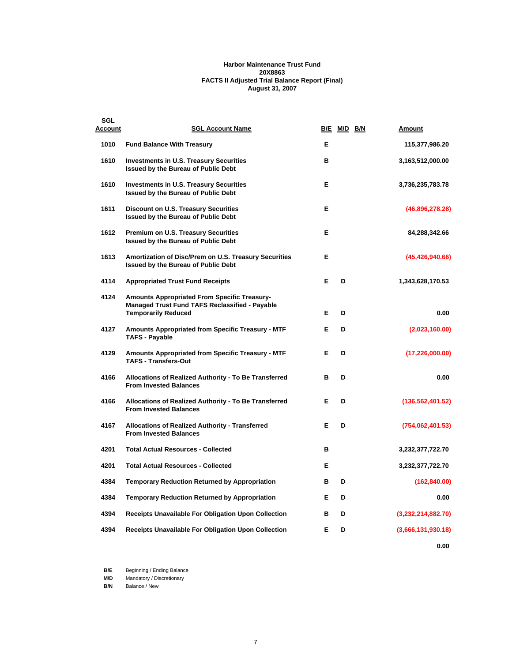### **Harbor Maintenance Trust Fund 20X8863 FACTS II Adjusted Trial Balance Report (Final) August 31, 2007**

| SGL<br>Account | <b>SGL Account Name</b>                                                                                                             |   | B/E M/D B/N | Amount             |
|----------------|-------------------------------------------------------------------------------------------------------------------------------------|---|-------------|--------------------|
| 1010           | <b>Fund Balance With Treasury</b>                                                                                                   | Е |             | 115,377,986.20     |
| 1610           | <b>Investments in U.S. Treasury Securities</b><br>Issued by the Bureau of Public Debt                                               | в |             | 3,163,512,000.00   |
| 1610           | <b>Investments in U.S. Treasury Securities</b><br><b>Issued by the Bureau of Public Debt</b>                                        | Е |             | 3,736,235,783.78   |
| 1611           | <b>Discount on U.S. Treasury Securities</b><br>Issued by the Bureau of Public Debt                                                  | E |             | (46,896,278.28)    |
| 1612           | <b>Premium on U.S. Treasury Securities</b><br>Issued by the Bureau of Public Debt                                                   | Е |             | 84,288,342.66      |
| 1613           | Amortization of Disc/Prem on U.S. Treasury Securities<br><b>Issued by the Bureau of Public Debt</b>                                 | Е |             | (45, 426, 940.66)  |
| 4114           | <b>Appropriated Trust Fund Receipts</b>                                                                                             | Е | D           | 1,343,628,170.53   |
| 4124           | <b>Amounts Appropriated From Specific Treasury-</b><br>Managed Trust Fund TAFS Reclassified - Payable<br><b>Temporarily Reduced</b> | Е | D           | 0.00               |
| 4127           | <b>Amounts Appropriated from Specific Treasury - MTF</b><br><b>TAFS - Payable</b>                                                   | Е | D           | (2,023,160.00)     |
| 4129           | Amounts Appropriated from Specific Treasury - MTF<br><b>TAFS - Transfers-Out</b>                                                    | Е | D           | (17, 226, 000.00)  |
| 4166           | Allocations of Realized Authority - To Be Transferred<br><b>From Invested Balances</b>                                              | B | D           | 0.00               |
| 4166           | Allocations of Realized Authority - To Be Transferred<br><b>From Invested Balances</b>                                              | Е | D           | (136, 562, 401.52) |
| 4167           | Allocations of Realized Authority - Transferred<br><b>From Invested Balances</b>                                                    | Е | D           | (754,062,401.53)   |
| 4201           | <b>Total Actual Resources - Collected</b>                                                                                           | в |             | 3,232,377,722.70   |
| 4201           | <b>Total Actual Resources - Collected</b>                                                                                           | Е |             | 3,232,377,722.70   |
| 4384           | <b>Temporary Reduction Returned by Appropriation</b>                                                                                | в | D           | (162, 840.00)      |
| 4384           | <b>Temporary Reduction Returned by Appropriation</b>                                                                                | Е | D           | 0.00               |
| 4394           | Receipts Unavailable For Obligation Upon Collection                                                                                 | в | D           | (3,232,214,882.70) |
| 4394           | Receipts Unavailable For Obligation Upon Collection                                                                                 | Е | D           | (3,666,131,930.18) |
|                |                                                                                                                                     |   |             | 0.00               |

**B/E** Beginning / Ending Balance

**M/D** Mandatory / Discretionary

**B/N** Balance / New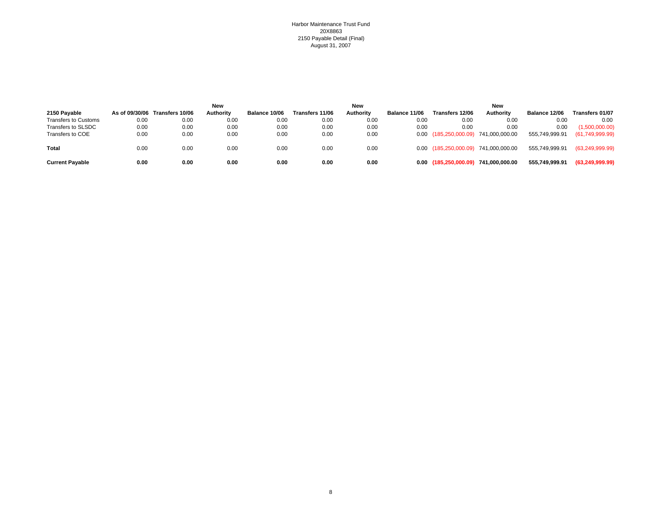#### Harbor Maintenance Trust Fund 20X8863 2150 Payable Detail (Final) August 31, 2007

|                        |      |                                | <b>New</b>       |                      |                 | <b>New</b> |               |                                      | <b>New</b> |                |                   |
|------------------------|------|--------------------------------|------------------|----------------------|-----------------|------------|---------------|--------------------------------------|------------|----------------|-------------------|
| 2150 Payable           |      | As of 09/30/06 Transfers 10/06 | <b>Authority</b> | <b>Balance 10/06</b> | Transfers 11/06 | Authority  | Balance 11/06 | <b>Transfers 12/06</b>               | Authority  | Balance 12/06  | Transfers 01/07   |
| Transfers to Customs   | 0.00 | 0.00                           | 0.00             | 0.00                 | 0.00            | 0.00       | 0.00          | 0.00                                 | 0.00       | 0.00           | 0.00              |
| Transfers to SLSDC     | 0.00 | 0.00                           | 0.00             | 0.00                 | 0.00            | 0.00       | 0.00          | 0.00                                 | 0.00       | 0.00           | (1,500,000.00)    |
| Transfers to COE       | 0.00 | 0.00                           | 0.00             | 0.00                 | 0.00            | 0.00       |               | 0.00 (185,250,000.09) 741,000,000.00 |            | 555,749,999.91 | (61,749,999.99)   |
| Total                  | 0.00 | 0.00                           | 0.00             | 0.00                 | 0.00            | 0.00       |               | 0.00 (185,250,000.09) 741,000,000.00 |            | 555,749,999.91 | (63, 249, 999.99) |
| <b>Current Payable</b> | 0.00 | 0.00                           | 0.00             | 0.00                 | 0.00            | 0.00       |               | 0.00 (185,250,000.09) 741,000,000.00 |            | 555,749,999.91 | (63, 249, 999.99) |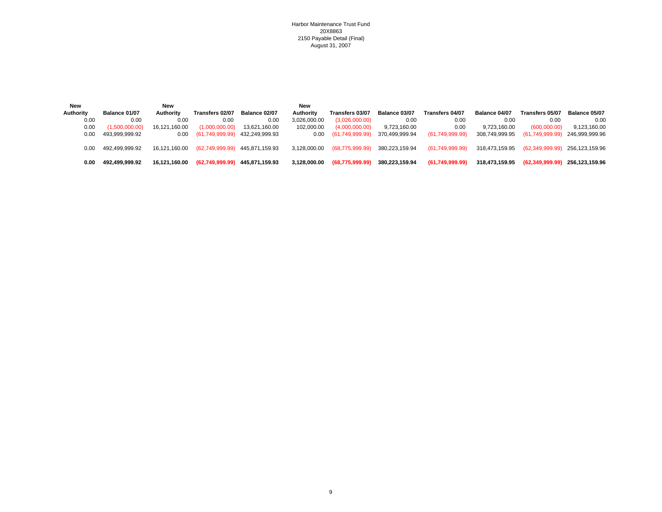Harbor Maintenance Trust Fund 20X8863 2150 Payable Detail (Final) August 31, 2007

| New       |                | <b>New</b>    |                 |                                | New          |                      |                |                 |                |                                |                |
|-----------|----------------|---------------|-----------------|--------------------------------|--------------|----------------------|----------------|-----------------|----------------|--------------------------------|----------------|
| Authority | Balance 01/07  | Authority     | Transfers 02/07 | Balance 02/07                  | Authority    | Transfers 03/07      | Balance 03/07  | Transfers 04/07 | Balance 04/07  | Transfers 05/07                | Balance 05/07  |
| 0.00      | 0.00           | 0.00          | 0.00            | 0.00                           | 3,026,000.00 | (3,026,000.00)       | 0.00           | 0.00            | 0.00           | 0.00                           | 0.00           |
| 0.00      | (1,500,000.00) | 16,121,160.00 | (1,000,000.00)  | 13.621.160.00                  | 102,000.00   | (4,000,000.00)       | 9,723,160.00   | 0.00            | 9.723.160.00   | (600,000.00)                   | 9,123,160.00   |
| 0.00      | 493.999.999.92 | 0.00          | (61,749,999.99) | 432,249,999.93                 |              | 0.00 (61,749,999.99) | 370.499.999.94 | (61,749,999.99) | 308.749.999.95 | (61,749,999.99) 246,999,999.96 |                |
|           |                |               |                 |                                |              |                      |                |                 |                |                                |                |
| 0.00      | 492.499.999.92 | 16.121.160.00 |                 | (62,749,999.99) 445,871,159.93 | 3.128.000.00 | (68,775,999.99)      | 380.223.159.94 | (61,749,999.99) | 318.473.159.95 | (62,349,999.99) 256,123,159.96 |                |
|           |                |               |                 |                                |              |                      |                |                 |                |                                |                |
| 0.00      | 492.499.999.92 | 16,121,160.00 | (62,749,999.99) | 445,871,159.93                 | 3.128.000.00 | (68,775,999.99)      | 380.223.159.94 | (61,749,999.99) | 318.473.159.95 | (62,349,999.99)                | 256.123.159.96 |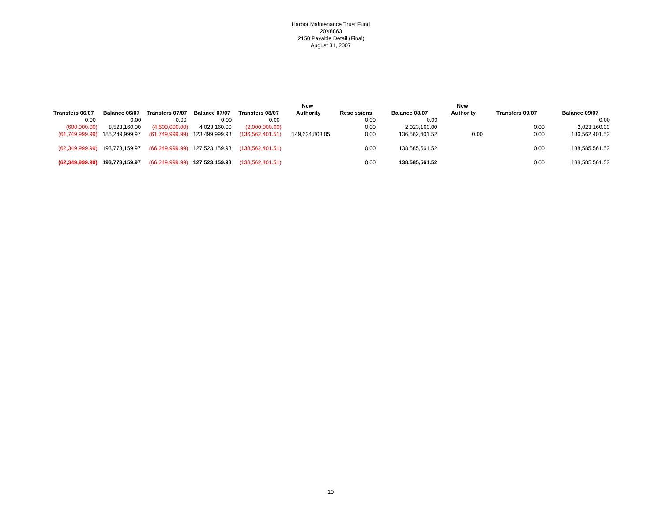#### Harbor Maintenance Trust Fund 20X8863 2150 Payable Detail (Final) August 31, 2007

|                                |                |                   |                                |                    | New            |                    |                | New       |                 |                |
|--------------------------------|----------------|-------------------|--------------------------------|--------------------|----------------|--------------------|----------------|-----------|-----------------|----------------|
| Transfers 06/07                | Balance 06/07  | Transfers 07/07   | Balance 07/07                  | Transfers 08/07    | Authority      | <b>Rescissions</b> | Balance 08/07  | Authority | Transfers 09/07 | Balance 09/07  |
| 0.00                           | 0.00           | 0.00              | 0.00                           | 0.00               |                | 0.00               | 0.00           |           |                 | 0.00           |
| (600,000.00)                   | 8,523,160.00   | (4,500,000.00)    | 4,023,160.00                   | (2,000,000.00)     |                | 0.00               | 2,023,160.00   |           | 0.00            | 2,023,160.00   |
| (61,749,999.99)                | 185,249,999.97 |                   | (61,749,999.99) 123,499,999.98 | (136, 562, 401.51) | 149.624.803.05 | 0.00               | 136.562.401.52 | 0.00      | 0.00            | 136,562,401.52 |
| (62,349,999.99) 193,773,159.97 |                |                   | (66,249,999.99) 127,523,159.98 | (138.562.401.51)   |                | 0.00               | 138.585.561.52 |           | 0.00            | 138,585,561.52 |
| (62,349,999.99)                | 193.773.159.97 | (66, 249, 999.99) | 127.523.159.98                 | (138.562.401.51)   |                | 0.0C               | 138.585.561.52 |           | 0.00            | 138.585.561.52 |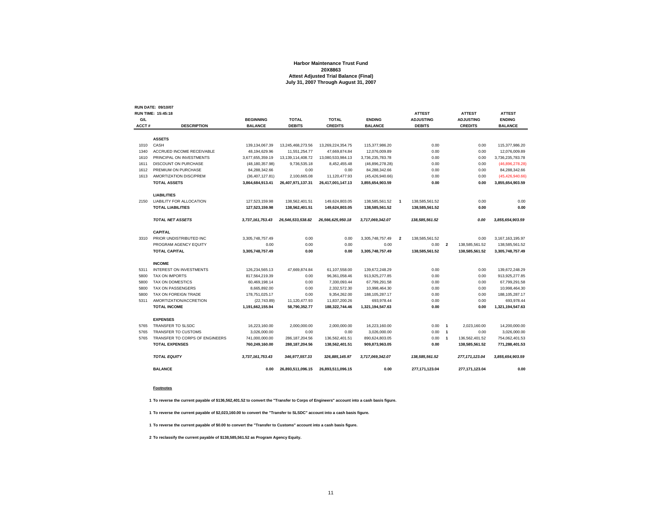#### **Harbor Maintenance Trust Fund20X8863 Attest Adjusted Trial Balance (Final) July 31, 2007 Through August 31, 2007**

|       | <b>RUN DATE: 09/10/07</b>       |                   |                   |                   |                   |                         |                  |                |                  |                   |
|-------|---------------------------------|-------------------|-------------------|-------------------|-------------------|-------------------------|------------------|----------------|------------------|-------------------|
|       | <b>RUN TIME: 15:45:18</b>       |                   |                   |                   |                   |                         | <b>ATTEST</b>    |                | <b>ATTEST</b>    | <b>ATTEST</b>     |
| G/L   |                                 | <b>BEGINNING</b>  | <b>TOTAL</b>      | <b>TOTAL</b>      | <b>ENDING</b>     |                         | <b>ADJUSTING</b> |                | <b>ADJUSTING</b> | <b>ENDING</b>     |
| ACCT# | <b>DESCRIPTION</b>              | <b>BALANCE</b>    | <b>DEBITS</b>     | <b>CREDITS</b>    | <b>BALANCE</b>    |                         | <b>DEBITS</b>    |                | <b>CREDITS</b>   | <b>BALANCE</b>    |
|       | <b>ASSETS</b>                   |                   |                   |                   |                   |                         |                  |                |                  |                   |
| 1010  | CASH                            | 139, 134, 067.39  | 13,245,468,273.56 | 13,269,224,354.75 | 115,377,986.20    |                         | 0.00             |                | 0.00             | 115,377,986.20    |
| 1340  | ACCRUED INCOME RECEIVABLE       | 48.194.629.96     | 11.551.254.77     | 47.669.874.84     | 12,076,009.89     |                         | 0.00             |                | 0.00             | 12,076,009.89     |
| 1610  | PRINCIPAL ON INVESTMENTS        | 3.677.655.359.19  | 13.139.114.408.72 | 13.080.533.984.13 | 3.736.235.783.78  |                         | 0.00             |                | 0.00             | 3,736,235,783.78  |
| 1611  | <b>DISCOUNT ON PURCHASE</b>     | (48, 180, 357.98) | 9,736,535.18      | 8,452,455.48      | (46,896,278.28)   |                         | 0.00             |                | 0.00             | (46,896,278.28)   |
| 1612  | PREMIUM ON PURCHASE             | 84,288,342.66     | 0.00              | 0.00              | 84,288,342.66     |                         | 0.00             |                | 0.00             | 84,288,342.66     |
| 1613  | AMORTIZATION DISC/PREM          | (36, 407, 127.81) | 2.100.665.08      | 11.120.477.93     | (45, 426, 940.66) |                         | 0.00             |                | 0.00             | (45, 426, 940.66) |
|       | <b>TOTAL ASSETS</b>             | 3,864,684,913.41  | 26,407,971,137.31 | 26,417,001,147.13 | 3,855,654,903.59  |                         | 0.00             |                | 0.00             | 3,855,654,903.59  |
|       | <b>LIABILITIES</b>              |                   |                   |                   |                   |                         |                  |                |                  |                   |
| 2150  | <b>LIABILITY FOR ALLOCATION</b> | 127,523,159.98    | 138.562.401.51    | 149,624,803.05    | 138,585,561.52    | $\overline{1}$          | 138.585.561.52   |                | 0.00             | 0.00              |
|       | <b>TOTAL LIABILITIES</b>        | 127,523,159.98    | 138,562,401.51    | 149,624,803.05    | 138,585,561.52    |                         | 138.585.561.52   |                | 0.00             | 0.00              |
|       |                                 |                   |                   |                   |                   |                         |                  |                |                  |                   |
|       | <b>TOTAL NET ASSETS</b>         | 3,737,161,753.43  | 26,546,533,538.82 | 26,566,625,950.18 | 3,717,069,342.07  |                         | 138,585,561.52   |                | 0.00             | 3,855,654,903.59  |
|       | <b>CAPITAL</b>                  |                   |                   |                   |                   |                         |                  |                |                  |                   |
| 3310  | PRIOR UNDISTRIBUTED INC         | 3,305,748,757.49  | 0.00              | 0.00              | 3,305,748,757.49  | $\overline{\mathbf{2}}$ | 138,585,561.52   |                | 0.00             | 3,167,163,195.97  |
|       | PROGRAM AGENCY EQUITY           | 0.00              | 0.00              | 0.00              | 0.00              |                         | 0.00             | $\overline{2}$ | 138,585,561.52   | 138,585,561.52    |
|       | <b>TOTAL CAPITAL</b>            | 3.305.748.757.49  | 0.00              | 0.00              | 3.305.748.757.49  |                         | 138.585.561.52   |                | 138.585.561.52   | 3,305,748,757.49  |
|       | <b>INCOME</b>                   |                   |                   |                   |                   |                         |                  |                |                  |                   |
| 5311  | <b>INTEREST ON INVESTMENTS</b>  | 126,234,565.13    | 47,669,874.84     | 61,107,558.00     | 139,672,248.29    |                         | 0.00             |                | 0.00             | 139,672,248.29    |
| 5800  | <b>TAX ON IMPORTS</b>           | 817.564.219.39    | 0.00              | 96.361.058.46     | 913.925.277.85    |                         | 0.00             |                | 0.00             | 913.925.277.85    |
| 5800  | TAX ON DOMESTICS                | 60,469,198.14     | 0.00              | 7.330.093.44      | 67.799.291.58     |                         | 0.00             |                | 0.00             | 67,799,291.58     |
| 5800  | TAX ON PASSENGERS               | 8,665,892.00      | 0.00              | 2,332,572.30      | 10,998,464.30     |                         | 0.00             |                | 0.00             | 10,998,464.30     |
| 5800  | TAX ON FOREIGN TRADE            | 178,751,025.17    | 0.00              | 9,354,262.00      | 188, 105, 287. 17 |                         | 0.00             |                | 0.00             | 188, 105, 287. 17 |
| 5311  | AMORTIZATION/ACCRETION          | (22, 743.89)      | 11,120,477.93     | 11,837,200.26     | 693.978.44        |                         | 0.00             |                | 0.00             | 693,978.44        |
|       | <b>TOTAL INCOME</b>             | 1,191,662,155.94  | 58,790,352.77     | 188,322,744.46    | 1,321,194,547.63  |                         | 0.00             |                | 0.00             | 1,321,194,547.63  |
|       | <b>EXPENSES</b>                 |                   |                   |                   |                   |                         |                  |                |                  |                   |
| 5765  | TRANSFER TO SLSDC               | 16,223,160.00     | 2,000,000.00      | 2,000,000.00      | 16,223,160.00     |                         | 0.00             | $\overline{1}$ | 2,023,160.00     | 14,200,000.00     |
| 5765  | TRANSFER TO CUSTOMS             | 3,026,000.00      | 0.00              | 0.00              | 3,026,000.00      |                         | 0.00             | $\overline{1}$ | 0.00             | 3,026,000.00      |
| 5765  | TRANSFER TO CORPS OF ENGINEERS  | 741,000,000.00    | 286, 187, 204. 56 | 136,562,401.51    | 890,624,803.05    |                         | 0.00             | $\overline{1}$ | 136,562,401.52   | 754,062,401.53    |
|       | <b>TOTAL EXPENSES</b>           | 760,249,160.00    | 288, 187, 204.56  | 138,562,401.51    | 909,873,963.05    |                         | 0.00             |                | 138,585,561.52   | 771,288,401.53    |
|       | <b>TOTAL EQUITY</b>             | 3,737,161,753.43  | 346,977,557.33    | 326,885,145.97    | 3,717,069,342.07  |                         | 138,585,561.52   |                | 277, 171, 123.04 | 3,855,654,903.59  |
|       | <b>BALANCE</b>                  | 0.00              | 26,893,511,096.15 | 26,893,511,096.15 | 0.00              |                         | 277,171,123.04   |                | 277, 171, 123.04 | 0.00              |
|       |                                 |                   |                   |                   |                   |                         |                  |                |                  |                   |

#### **Footnotes**

**1 To reverse the current payable of \$136,562,401.52 to convert the "Transfer to Corps of Engineers" account into a cash basis figure.**

**1 To reverse the current payable of \$2,023,160.00 to convert the "Transfer to SLSDC" account into a cash basis figure.**

**1 To reverse the current payable of \$0.00 to convert the "Transfer to Customs" account into a cash basis figure.**

**2 To reclassify the current payable of \$138,585,561.52 as Program Agency Equity.**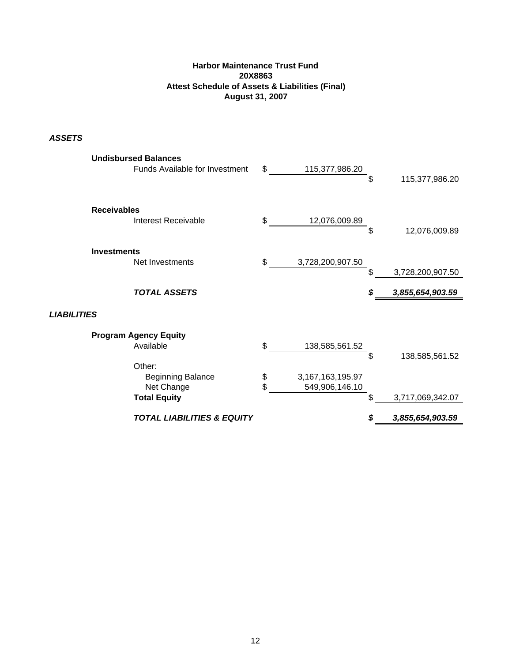## **Harbor Maintenance Trust Fund 20X8863 Attest Schedule of Assets & Liabilities (Final) August 31, 2007**

*ASSETS*

| <b>Undisbursed Balances</b><br>Funds Available for Investment | \$<br>115,377,986.20   | \$ | 115,377,986.20   |
|---------------------------------------------------------------|------------------------|----|------------------|
| <b>Receivables</b>                                            |                        |    |                  |
| Interest Receivable                                           | \$<br>12,076,009.89    | \$ | 12,076,009.89    |
| <b>Investments</b>                                            |                        |    |                  |
| Net Investments                                               | \$<br>3,728,200,907.50 | \$ | 3,728,200,907.50 |
| <b>TOTAL ASSETS</b>                                           |                        | S  | 3,855,654,903.59 |
| <b>LIABILITIES</b>                                            |                        |    |                  |
| <b>Program Agency Equity</b>                                  |                        |    |                  |
| Available                                                     | \$<br>138,585,561.52   | \$ | 138,585,561.52   |
| Other:                                                        |                        |    |                  |
| <b>Beginning Balance</b>                                      | \$<br>3,167,163,195.97 |    |                  |
| Net Change<br><b>Total Equity</b>                             | \$<br>549,906,146.10   | \$ | 3,717,069,342.07 |
| <b>TOTAL LIABILITIES &amp; EQUITY</b>                         |                        |    | 3,855,654,903.59 |